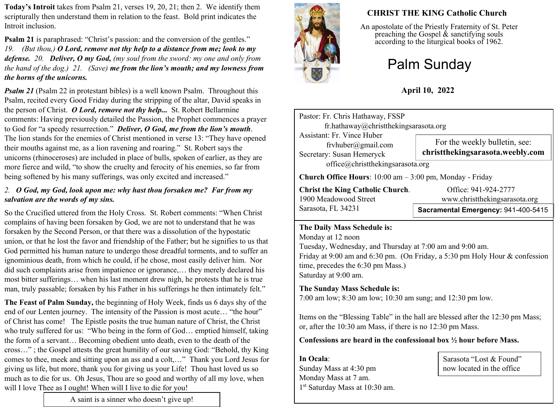**Today's Introit** takes from Psalm 21, verses 19, 20, 21; then 2. We identify them scripturally then understand them in relation to the feast. Bold print indicates the Introit inclusion.

**Psalm 21** is paraphrased: "Christ's passion: and the conversion of the gentles." *19. (But thou,) O Lord, remove not thy help to a distance from me; look to my defense. 20. Deliver, O my God, (my soul from the sword: my one and only from the hand of the dog.) 21. (Save) me from the lion's mouth; and my lowness from the horns of the unicorns.*

*Psalm 21* (Psalm 22 in protestant bibles) is a well known Psalm. Throughout this Psalm, recited every Good Friday during the stripping of the altar, David speaks in the person of Christ. *O Lord, remove not thy help...* St. Robert Bellarmine comments: Having previously detailed the Passion, the Prophet commences a prayer to God for "a speedy resurrection." *Deliver, O God, me from the lion's mouth*. The lion stands for the enemies of Christ mentioned in verse 13: "They have opened their mouths against me, as a lion ravening and roaring." St. Robert says the unicorns (rhinoceroses) are included in place of bulls, spoken of earlier, as they are more fierce and wild, "to show the cruelty and ferocity of his enemies, so far from being softened by his many sufferings, was only excited and increased."

#### *2. O God, my God, look upon me: why hast thou forsaken me? Far from my salvation are the words of my sins.*

So the Crucified uttered from the Holy Cross. St. Robert comments: "When Christ complains of having been forsaken by God, we are not to understand that he was forsaken by the Second Person, or that there was a dissolution of the hypostatic union, or that he lost the favor and friendship of the Father; but he signifies to us that God permitted his human nature to undergo those dreadful torments, and to suffer an ignominious death, from which he could, if he chose, most easily deliver him. Nor did such complaints arise from impatience or ignorance,… they merely declared his most bitter sufferings… when his last moment drew nigh, he protests that he is true man, truly passable; forsaken by his Father in his sufferings he then intimately felt."

**The Feast of Palm Sunday,** the beginning of Holy Week, finds us 6 days shy of the end of our Lenten journey.The intensity of the Passion is most acute… "the hour" of Christ has come!The Epistle posits the true human nature of Christ, the Christ who truly suffered for us: "Who being in the form of God… emptied himself, taking the form of a servant… Becoming obedient unto death, even to the death of the cross…" ; the Gospel attests the great humility of our saving God: "Behold, thy King comes to thee, meek and sitting upon an ass and a colt,…" Thank you Lord Jesus for giving us life, but more, thank you for giving us your Life! Thou hast loved us so much as to die for us. Oh Jesus, Thou are so good and worthy of all my love, when will I love Thee as I ought! When will I live to die for you!

A saint is a sinner who doesn't give up!



# **CHRIST THE KING Catholic Church**

An apostolate of the Priestly Fraternity of St. Peter preaching the Gospel  $\&$  sanctifying souls according to the liturgical books of 1962.

# Palm Sunday

# **April 10, 2022**

| Pastor: Fr. Chris Hathaway, FSSP                                              |                                                                   |  |  |
|-------------------------------------------------------------------------------|-------------------------------------------------------------------|--|--|
| fr.hathaway@christthekingsarasota.org                                         |                                                                   |  |  |
| Assistant: Fr. Vince Huber<br>frvhuber@gmail.com<br>Secretary: Susan Hemeryck | For the weekly bulletin, see:<br>christthekingsarasota.weebly.com |  |  |
| office@christthekingsarasota.org                                              |                                                                   |  |  |
| <b>Church Office Hours</b> : $10:00$ am $-3:00$ pm, Monday - Friday           |                                                                   |  |  |
| <b>Christ the King Catholic Church.</b>                                       | Office: 941-924-2777                                              |  |  |

Sarasota, FL 34231

1900 Meadowood Street www.christthekingsarasota.org

### **Sacramental Emergency:** 941-400-5415

#### **The Daily Mass Schedule is:**

Monday at 12 noon Tuesday, Wednesday, and Thursday at 7:00 am and 9:00 am. Friday at 9:00 am and 6:30 pm. (On Friday, a 5:30 pm Holy Hour & confession time, precedes the 6:30 pm Mass.) Saturday at 9:00 am.

### **The Sunday Mass Schedule is:**

7:00 am low; 8:30 am low; 10:30 am sung; and 12:30 pm low.

Items on the "Blessing Table" in the hall are blessed after the 12:30 pm Mass; or, after the 10:30 am Mass, if there is no 12:30 pm Mass.

#### **Confessions are heard in the confessional box ½ hour before Mass.**

**In Ocala**: Sunday Mass at 4:30 pm Monday Mass at 7 am. 1 st Saturday Mass at 10:30 am.

Sarasota "Lost & Found" now located in the office